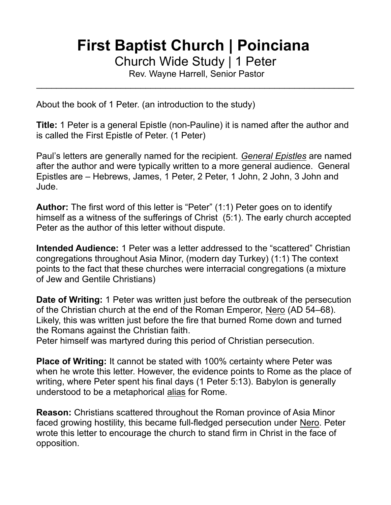# **First Baptist Church | Poinciana**

Church Wide Study | 1 Peter

Rev. Wayne Harrell, Senior Pastor  $\mathcal{L}_\text{max}$  , and the contract of the contract of the contract of the contract of the contract of the contract of the contract of the contract of the contract of the contract of the contract of the contract of the contr

About the book of 1 Peter. (an introduction to the study)

**Title:** 1 Peter is a general Epistle (non-Pauline) it is named after the author and is called the First Epistle of Peter. (1 Peter)

Paul's letters are generally named for the recipient. *General Epistles* are named after the author and were typically written to a more general audience. General Epistles are – Hebrews, James, 1 Peter, 2 Peter, 1 John, 2 John, 3 John and Jude.

**Author:** The first word of this letter is "Peter" (1:1) Peter goes on to identify himself as a witness of the sufferings of Christ (5:1). The early church accepted Peter as the author of this letter without dispute.

**Intended Audience:** 1 Peter was a letter addressed to the "scattered" Christian congregations throughout Asia Minor, (modern day Turkey) (1:1) The context points to the fact that these churches were interracial congregations (a mixture of Jew and Gentile Christians)

**Date of Writing:** 1 Peter was written just before the outbreak of the persecution of the Christian church at the end of the Roman Emperor, Nero (AD 54–68). Likely, this was written just before the fire that burned Rome down and turned the Romans against the Christian faith.

Peter himself was martyred during this period of Christian persecution.

**Place of Writing:** It cannot be stated with 100% certainty where Peter was when he wrote this letter. However, the evidence points to Rome as the place of writing, where Peter spent his final days (1 Peter 5:13). Babylon is generally understood to be a metaphorical alias for Rome.

**Reason:** Christians scattered throughout the Roman province of Asia Minor faced growing hostility, this became full-fledged persecution under Nero. Peter wrote this letter to encourage the church to stand firm in Christ in the face of opposition.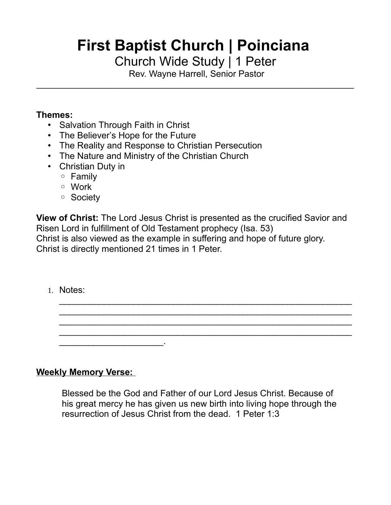# **First Baptist Church | Poinciana**

Church Wide Study | 1 Peter

 Rev. Wayne Harrell, Senior Pastor  $\mathcal{L}_\text{max}$  , and the contract of the contract of the contract of the contract of the contract of the contract of the contract of the contract of the contract of the contract of the contract of the contract of the contr

#### **Themes:**

- Salvation Through Faith in Christ
- The Believer's Hope for the Future
- The Reality and Response to Christian Persecution
- The Nature and Ministry of the Christian Church
- Christian Duty in
	- Family
	- Work
	- Society

**View of Christ:** The Lord Jesus Christ is presented as the crucified Savior and Risen Lord in fulfillment of Old Testament prophecy (Isa. 53) Christ is also viewed as the example in suffering and hope of future glory. Christ is directly mentioned 21 times in 1 Peter.

1. Notes:

#### **Weekly Memory Verse:**

 $\mathcal{L}_\text{max}$  , where  $\mathcal{L}_\text{max}$ 

Blessed be the God and Father of our Lord Jesus Christ. Because of his great mercy he has given us new birth into living hope through the resurrection of Jesus Christ from the dead. 1 Peter 1:3

 $\mathcal{L}_\text{max}$  , and the contract of the contract of the contract of the contract of the contract of the contract of the contract of the contract of the contract of the contract of the contract of the contract of the contr  $\mathcal{L}_\text{max}$  , and the contract of the contract of the contract of the contract of the contract of the contract of the contract of the contract of the contract of the contract of the contract of the contract of the contr  $\mathcal{L}_\text{max}$  , and the contract of the contract of the contract of the contract of the contract of the contract of the contract of the contract of the contract of the contract of the contract of the contract of the contr  $\mathcal{L}_\text{max}$  , and the contract of the contract of the contract of the contract of the contract of the contract of the contract of the contract of the contract of the contract of the contract of the contract of the contr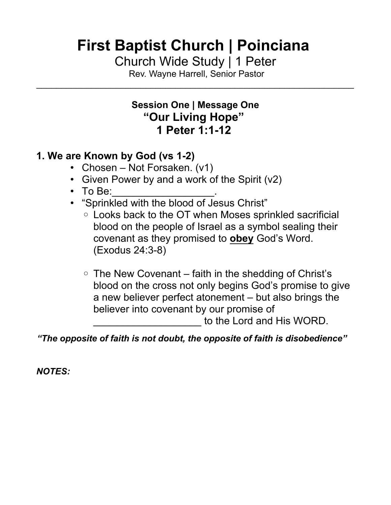# **First Baptist Church | Poinciana**

Church Wide Study | 1 Peter

 Rev. Wayne Harrell, Senior Pastor  $\mathcal{L}_\text{max}$  , and the contract of the contract of the contract of the contract of the contract of the contract of the contract of the contract of the contract of the contract of the contract of the contract of the contr

#### **Session One | Message One "Our Living Hope" 1 Peter 1:1-12**

### **1. We are Known by God (vs 1-2)**

- Chosen Not Forsaken. (v1)
- Given Power by and a work of the Spirit (v2)
- To Be:
- "Sprinkled with the blood of Jesus Christ"
	- Looks back to the OT when Moses sprinkled sacrificial blood on the people of Israel as a symbol sealing their covenant as they promised to **obey** God's Word. (Exodus 24:3-8)
	- The New Covenant faith in the shedding of Christ's blood on the cross not only begins God's promise to give a new believer perfect atonement – but also brings the believer into covenant by our promise of to the Lord and His WORD.

*"The opposite of faith is not doubt, the opposite of faith is disobedience"*

*NOTES:*